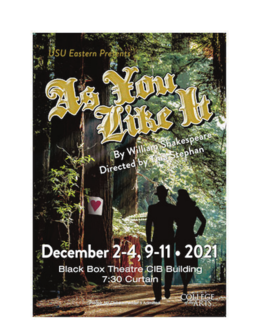# December 2-4, 9-11 • 2021

By Wil

Directed by 1

Shakespear

tephan

COLLEGE<br>ARTS

SU Eastern Pres

۵

**Black Box Theatre CIB Building** 7:30 Curtain

**Index 6 Adm**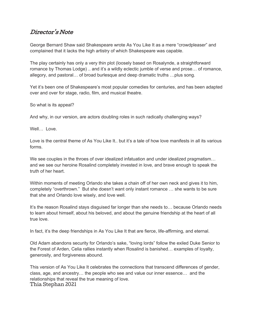# Director's Note

George Bernard Shaw said Shakespeare wrote As You Like It as a mere "crowdpleaser" and complained that it lacks the high artistry of which Shakespeare was capable.

The play certainly has only a very thin plot (loosely based on Rosalynde, a straightforward romance by Thomas Lodge) .. and it's a wildly eclectic jumble of verse and prose... of romance, allegory, and pastoral... of broad burlesque and deep dramatic truths ... plus song.

Yet it's been one of Shakespeare's most popular comedies for centuries, and has been adapted over and over for stage, radio, film, and musical theatre.

So what is its appeal?

And why, in our version, are actors doubling roles in such radically challenging ways?

Well... Love.

Love is the central theme of As You Like It but it's a tale of how love manifests in all its various forms.

We see couples in the throes of over idealized infatuation and under idealized pragmatism... and we see our heroine Rosalind completely invested in love, and brave enough to speak the truth of her heart.

Within moments of meeting Orlando she takes a chain off of her own neck and gives it to him. completely "overthrown." But she doesn't want only instant romance ... she wants to be sure that she and Orlando love wisely, and love well.

It's the reason Rosalind stays disguised far longer than she needs to... because Orlando needs to learn about himself, about his beloved, and about the genuine friendship at the heart of all true love

In fact, it's the deep friendships in As You Like It that are fierce, life-affirming, and eternal.

Old Adam abandons security for Orlando's sake, "loving lords" follow the exiled Duke Senior to the Forest of Arden, Celia rallies instantly when Rosalind is banished... examples of loyalty, generosity, and forgiveness abound.

This version of As You Like It celebrates the connections that transcend differences of gender, class, age, and ancestry... the people who see and value our inner essence... and the relationships that reveal the true meaning of love. Thia Stephan 2021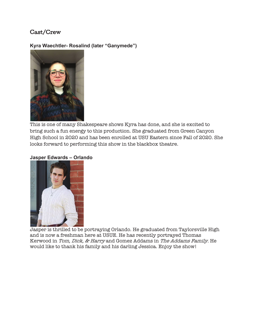# Cast/Crew

#### **Kyra Waechtler- Rosalind (later "Ganymede")**



This is one of many Shakespeare shows Kyra has done, and she is excited to bring such a fun energy to this production. She graduated from Green Canyon High School in 2020 and has been enrolled at USU Eastern since Fall of 2020. She looks forward to performing this show in the blackbox theatre.

#### **Jasper Edwards - Orlando**



Jasper is thrilled to be portraying Orlando. He graduated from Taylorsville High and is now a freshman here at USUE. He has recently portrayed Thomas Kerwood in Tom, Dick, & Harry and Gomez Addams in The Addams Family. He would like to thank his family and his darling Jessica. Enjoy the show!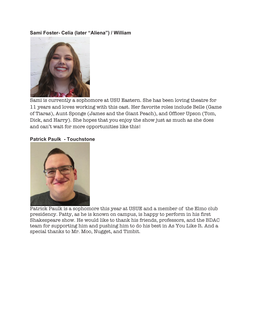#### **Sami Foster- Celia (later "Aliena") / William**



Sami is currently a sophomore at USU Eastern. She has been loving theatre for 11 years and loves working with this cast. Her favorite roles include Belle (Game of Tiaras), Aunt Sponge (James and the Giant Peach), and Officer Upson (Tom, Dick, and Harry). She hopes that you enjoy the show just as much as she does and can't wait for more opportunities like this!

#### **Patrick Paulk - Touchstone**



Patrick Paulk is a sophomore this year at USUE and a member of the Elmo club presidency. Patty, as he is known on campus, is happy to perform in his first Shakespeare show. He would like to thank his friends, professors, and the BDAC team for supporting him and pushing him to do his best in As You Like It. And a special thanks to Mr. Moo, Nugget, and Timbit.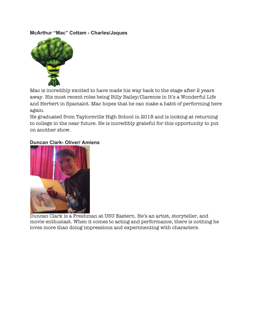#### **McArthur "Mac" Cottam - Charles/Jaques**



Mac is incredibly excited to have made his way back to the stage after 2 years away. His most recent roles being Billy Bailey/Clarence in It's a Wonderful Life and Herbert in Spamalot. Mac hopes that he can make a habit of performing here again.

He graduated from Taylorsville High School in 2018 and is looking at returning to college in the near future. He is incredibly grateful for this opportunity to put on another show.

#### **Duncan Clark- Oliver/ Amiens**



Duncan Clark is a Freshman at USU Eastern. He's an artist, storyteller, and movie enthusiast. When it comes to acting and performance, there is nothing he loves more than doing impressions and experimenting with characters.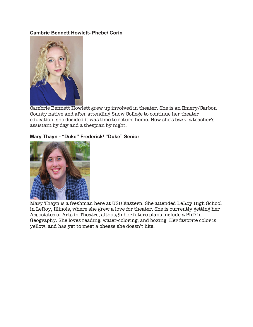#### **Cambrie Bennett Howlett- Phebe/ Corin**



Cambrie Bennett Howlett grew up involved in theater. She is an Emery/Carbon County native and after attending Snow College to continue her theater education, she decided it was time to return home. Now she's back, a teacher's assistant by day and a thespian by night.

#### Mary Thayn - "Duke" Frederick/ "Duke" Senior



Mary Thayn is a freshman here at USU Eastern. She attended LeRoy High School in LeRoy, Illinois, where she grew a love for theater. She is currently getting her Associates of Arts in Theatre, although her future plans include a PhD in Geography. She loves reading, water-coloring, and boxing. Her favorite color is yellow, and has yet to meet a cheese she doesn't like.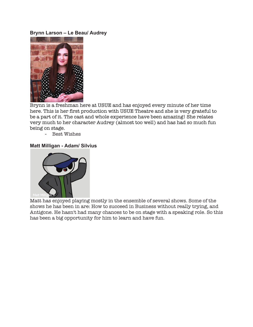#### **Brynn Larson - Le Beau/ Audrey**



Brynn is a freshman here at USUE and has enjoyed every minute of her time here. This is her first production with USUE Theatre and she is very grateful to be a part of it. The cast and whole experience have been amazing! She relates very much to her character Audrey (almost too well) and has had so much fun being on stage.

- Best Wishes

#### **Matt Milligan - Adam/ Silvius**



Matt has enjoyed playing mostly in the ensemble of several shows. Some of the shows he has been in are: How to succeed in Business without really trying, and Antigone. He hasn't had many chances to be on stage with a speaking role. So this has been a big opportunity for him to learn and have fun.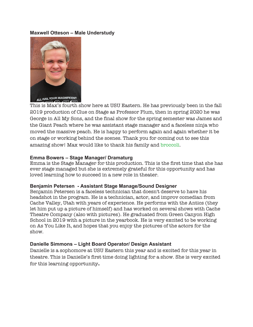#### **Maxwell Otteson - Male Understudy**



This is Max's fourth show here at USU Eastern. He has previously been in the fall 2019 production of Clue on Stage as Professor Plum, then in spring 2020 he was George in All My Sons, and the final show for the spring semester was James and the Giant Peach where he was assistant stage manager and a faceless ninja who moved the massive peach. He is happy to perform again and again whether it be on stage or working behind the scenes. Thank you for coming out to see this amazing show! Max would like to thank his family and broccoli.

#### **Emma Bowers - Stage Manager/ Dramaturg**

Emma is the Stage Manager for this production. This is the first time that she has ever stage managed but she is extremely grateful for this opportunity and has loved learning how to succeed in a new role in theater.

#### **Benjamin Petersen - Assistant Stage Manage/Sound Designer**

Benjamin Petersen is a faceless technician that doesn't deserve to have his headshot in the program. He is a technician, actor, and improv comedian from Cache Valley, Utah with years of experience. He performs with the Antics (they let him put up a picture of himself) and has worked on several shows with Cache Theatre Company (also with pictures). He graduated from Green Canyon High School in 2019 with a picture in the yearbook. He is very excited to be working on As You Like It, and hopes that you enjoy the pictures of the actors for the show.

#### **Danielle Simmons – Light Board Operator/ Design Assistant**

Danielle is a sophomore at USU Eastern this year and is excited for this year in theatre. This is Danielle's first time doing lighting for a show. She is very excited for this learning opportunity**.**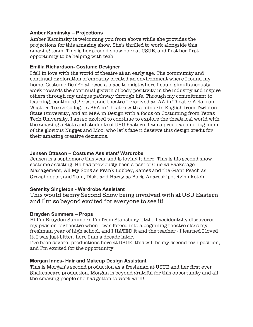#### **Amber Kaminsky - Projections**

Amber Kaminsky is welcoming you from above while she provides the projections for this amazing show. She's thrilled to work alongside this amazing team. This is her second show here at USUE, and first her first opportunity to be helping with tech.

#### **Emilia Richardson- Costume Designer**

I fell in love with the world of theatre at an early age. The community and continual exploration of empathy created an environment where I found my home. Costume Design allowed a place to exist where I could simultaneously work towards the continual growth of body positivity in the industry and inspire others through my unique pathway through life. Through my commitment to learning, continued growth, and theatre I received an AA in Theatre Arts from Western Texas College, a BFA in Theatre with a minor in English from Tarleton State University, and an MFA in Design with a focus on Costuming from Texas Tech University. I am so excited to continue to explore the theatrical world with the amazing artists and students of USU Eastern. I am a proud weenie dog mom of the glorious Nugget and Moo, who let's face it deserve this design credit for their amazing creative decisions.

#### **Jensen Otteson - Costume Assistant/ Wardrobe**

Jensen is a sophomore this year and is loving it here. This is his second show costume assisting. He has previously been a part of Clue as Backstage Management, All My Sons as Frank Lubbey, James and the Giant Peach as Grasshopper, and Tom, Dick, and Harry as Boris Anaroskipetrivisnikotch.

#### **Serenity Singleton - Wardrobe Assistant**

This would be my Second Show being involved with at USU Eastern and  $\rm1\,m$  so beyond excited for everyone to see it!

#### **Brayden Summers – Props**

Hi I'm Brayden Summers, I'm from Stansbury Utah. I accidentally discovered my passion for theatre when I was forced into a beginning theatre class my freshman year of high school, and I HATED it and the teacher - I learned I loved it, I was just bitter, here I am a decade later.

I've been several productions here at USUE, this will be my second tech position, and I'm excited for the opportunity.

#### **Morgan Innes- Hair and Makeup Design Assistant**

This is Morgan's second production as a freshman at USUE and her first ever Shakespeare production. Morgan is beyond grateful for this opportunity and all the amazing people she has gotten to work with!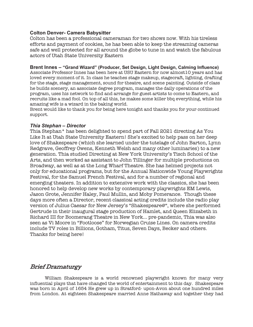#### **Colton Denver- Camera Babysitter**

Colton has been a professional cameraman for two shows now. With his tireless efforts and payment of cookies, he has been able to keep the streaming cameras safe and well protected for all around the globe to tune in and watch the fabulous actors of Utah State University Eastern

#### Brent Innes - "Grand Wizard" (Producer, Set Design, Light Design, Calming Influence)

Associate Professor Innes has been here at USU Eastern for now almost10 years and has loved every moment of it. In class he teaches stage makeup, stagecraft, lighting, drafting for the stage, stage management, sound for theatre, and scene painting. Outside of class he builds scenery, an associate degree program, manages the daily operations of the program, uses his network to find and arrange for guest artists to come to Eastern, and recruits like a mad fool. On top of all this, he makes some killer bbq everything, while his amazing wife is a wizard in the baking world.

Brent would like to thank you for being here tonight and thanks you for your continued support.

#### **Thia Stephan - Director**

Thia Stephan\* has been delighted to spend part of Fall 2021 directing As You Like It at Utah State University Eastern! She's excited to help pass on her deep love of Shakespeare (which she learned under the tutelage of John Barton, Lynn Redgrave, Geoffrey Owens, Kenneth Welsh and many other luminaries) to a new generation. Thia studied Directing at New York University's Tisch School of the Arts, and then worked as assistant to John Tillinger for multiple productions on Broadway, as well as at the Long Wharf Theatre. She has helmed projects not only for educational programs, but for the Annual Nationwide Young Playwrights Festival, for the Samuel French Festival, and for a number of regional and emerging theaters. In addition to extensive work with the classics, she has been honored to help develop new works by contemporary playwrights EM Lewis, Jason Grote, Jennifer Haley, Paul Mullin, and Moby Pomerance. Though these days more often a Director, recent classical acting credits include the radio play version of Julius Caesar for New Jersey's "Shakespeare@", where she performed Gertrude in their inaugural stage production of Hamlet, and Queen Elizabeth in Richard III for Boomerang Theatre in New York… pre-pandemic, Thia was also seen as Vi Moore in "Footloose" for Norwegian Cruise Lines. On camera credits include TV roles in Billions, Gotham, Titus, Seven Days, Becker and others. Thanks for being here!

## Brief Dramaturgy

William Shakespeare is a world renowned playwright known for many very influential plays that have changed the world of entertainment to this day. Shakespeare was born in April of 1654 He grew up in Stratford- upon-Avon about one hundred miles from London. At eighteen Shakespeare married Anne Hathaway and together they had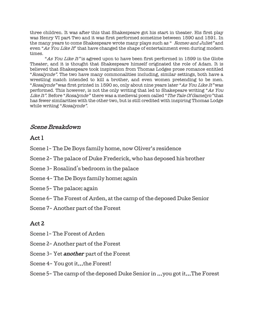three children. It was after this that Shakespeare got his start in theater. His first play was Henry VI part Two and it was first performed sometime between 1590 and 1591. In the many years to come Shakespeare wrote many plays such as " Romeo and Juliet" and even "As You Like It" that have changed the shape of entertainment even during modern times.

"As You Like It" is agreed upon to have been first performed in 1599 in the Globe Theater, and it is thought that Shakespeare himself originated the role of Adam. It is believed that Shakespeare took inspiration from Thomas Lodges prose romance entitled "Rosalynde". The two have many commonalities including, similar settings, both have a wrestling match intended to kill a brother, and even women pretending to be men. "Rosalynde" was first printed in 1590 so, only about nine years later "As You Like It" was performed. This however, is not the only writing that led to Shakepeare writing "As You Like It". Before "Rosalynde" there was a medieval poem called "The Tale Of Gamelyn" that has fewer similarities with the other two, but is still credited with inspiring Thomas Lodge while writing "Rosalynde".

# Scene Breakdown

## $Act.1$

- Scene 1- The De Boys family home, now Oliver's residence
- Scene 2- The palace of Duke Frederick, who has deposed his brother
- Scene 3-Rosalind's bedroom in the palace
- Scene 4- The De Boys family home; again
- Scene 5 The palace; again
- Scene 6- The Forest of Arden, at the camp of the deposed Duke Senior
- Scene 7 Another part of the Forest

# Act 2

- Scene 1- The Forest of Arden
- Scene 2- Another part of the Forest
- Scene 3- Yet *another* part of the Forest
- Scene 4- You got it...the Forest!
- Scene 5- The camp of the deposed Duke Senior in ...you got it...The Forest